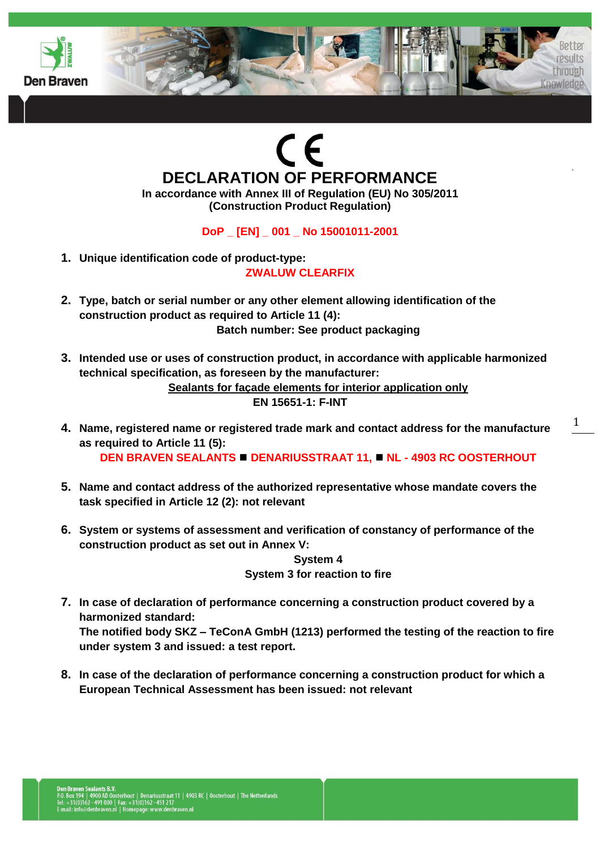



**In accordance with Annex III of Regulation (EU) No 305/2011 (Construction Product Regulation)**

**DoP \_ [EN] \_ 001 \_ No 15001011-2001**

- **1. Unique identification code of product-type: ZWALUW CLEARFIX**
- **2. Type, batch or serial number or any other element allowing identification of the construction product as required to Article 11 (4): Batch number: See product packaging**
- **3. Intended use or uses of construction product, in accordance with applicable harmonized technical specification, as foreseen by the manufacturer: Sealants for façade elements for interior application only EN 15651-1: F-INT**
- **4. Name, registered name or registered trade mark and contact address for the manufacture as required to Article 11 (5): DEN BRAVEN SEALANTS ■ DENARIUSSTRAAT 11, ■ NL - 4903 RC OOSTERHOUT**
- **5. Name and contact address of the authorized representative whose mandate covers the task specified in Article 12 (2): not relevant**
- **6. System or systems of assessment and verification of constancy of performance of the construction product as set out in Annex V:**

**System 4 System 3 for reaction to fire**

- **7. In case of declaration of performance concerning a construction product covered by a harmonized standard: The notified body SKZ – TeConA GmbH (1213) performed the testing of the reaction to fire under system 3 and issued: a test report.**
- **8. In case of the declaration of performance concerning a construction product for which a European Technical Assessment has been issued: not relevant**

peulte through

Knowledge